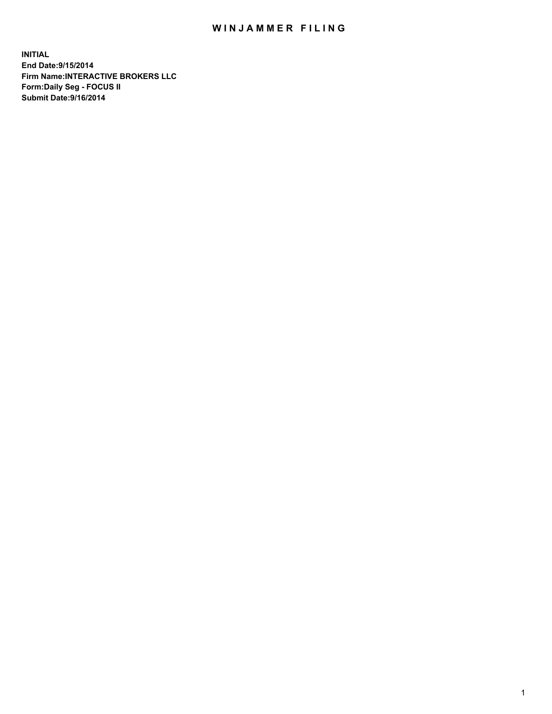## WIN JAMMER FILING

**INITIAL End Date:9/15/2014 Firm Name:INTERACTIVE BROKERS LLC Form:Daily Seg - FOCUS II Submit Date:9/16/2014**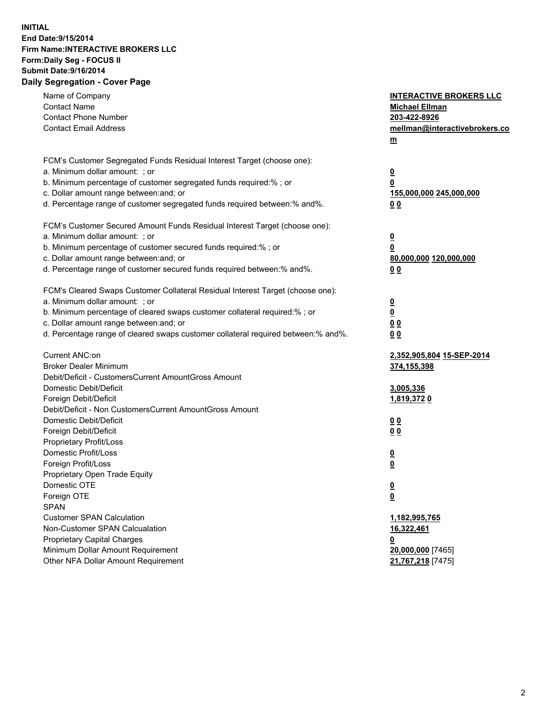## **INITIAL End Date:9/15/2014 Firm Name:INTERACTIVE BROKERS LLC Form:Daily Seg - FOCUS II Submit Date:9/16/2014 Daily Segregation - Cover Page**

| Name of Company                                                                   | <b>INTERACTIVE BROKERS LLC</b>      |
|-----------------------------------------------------------------------------------|-------------------------------------|
| <b>Contact Name</b>                                                               | <b>Michael Ellman</b>               |
| <b>Contact Phone Number</b>                                                       | 203-422-8926                        |
| <b>Contact Email Address</b>                                                      | mellman@interactivebrokers.co       |
|                                                                                   | $m$                                 |
|                                                                                   |                                     |
| FCM's Customer Segregated Funds Residual Interest Target (choose one):            |                                     |
| a. Minimum dollar amount: ; or                                                    | $\overline{\mathbf{0}}$             |
| b. Minimum percentage of customer segregated funds required:% ; or                | 0                                   |
| c. Dollar amount range between: and; or                                           | 155,000,000 245,000,000             |
| d. Percentage range of customer segregated funds required between:% and%.         | 0 <sub>0</sub>                      |
| FCM's Customer Secured Amount Funds Residual Interest Target (choose one):        |                                     |
| a. Minimum dollar amount: ; or                                                    | $\overline{\mathbf{0}}$             |
| b. Minimum percentage of customer secured funds required:% ; or                   | 0                                   |
| c. Dollar amount range between: and; or                                           | 80,000,000 120,000,000              |
| d. Percentage range of customer secured funds required between:% and%.            | 0 <sub>0</sub>                      |
|                                                                                   |                                     |
| FCM's Cleared Swaps Customer Collateral Residual Interest Target (choose one):    |                                     |
| a. Minimum dollar amount: ; or                                                    | $\overline{\mathbf{0}}$             |
| b. Minimum percentage of cleared swaps customer collateral required:% ; or        | $\overline{\mathbf{0}}$             |
| c. Dollar amount range between: and; or                                           | 0 <sub>0</sub>                      |
| d. Percentage range of cleared swaps customer collateral required between:% and%. | 0 <sub>0</sub>                      |
|                                                                                   |                                     |
| Current ANC:on                                                                    | 2,352,905,804 15-SEP-2014           |
| <b>Broker Dealer Minimum</b>                                                      | 374,155,398                         |
| Debit/Deficit - CustomersCurrent AmountGross Amount                               |                                     |
| Domestic Debit/Deficit                                                            | 3,005,336                           |
| Foreign Debit/Deficit                                                             | 1,819,3720                          |
| Debit/Deficit - Non CustomersCurrent AmountGross Amount                           |                                     |
| Domestic Debit/Deficit                                                            | 0 <sub>0</sub>                      |
| Foreign Debit/Deficit<br>Proprietary Profit/Loss                                  | 0 <sub>0</sub>                      |
| Domestic Profit/Loss                                                              |                                     |
| Foreign Profit/Loss                                                               | <u>0</u><br>$\overline{\mathbf{0}}$ |
| Proprietary Open Trade Equity                                                     |                                     |
| Domestic OTE                                                                      | <u>0</u>                            |
| Foreign OTE                                                                       | <u>0</u>                            |
| <b>SPAN</b>                                                                       |                                     |
| <b>Customer SPAN Calculation</b>                                                  | 1,182,995,765                       |
| Non-Customer SPAN Calcualation                                                    | 16,322,461                          |
| Proprietary Capital Charges                                                       | <u>0</u>                            |
| Minimum Dollar Amount Requirement                                                 | 20,000,000 [7465]                   |
| Other NFA Dollar Amount Requirement                                               | 21,767,218 [7475]                   |
|                                                                                   |                                     |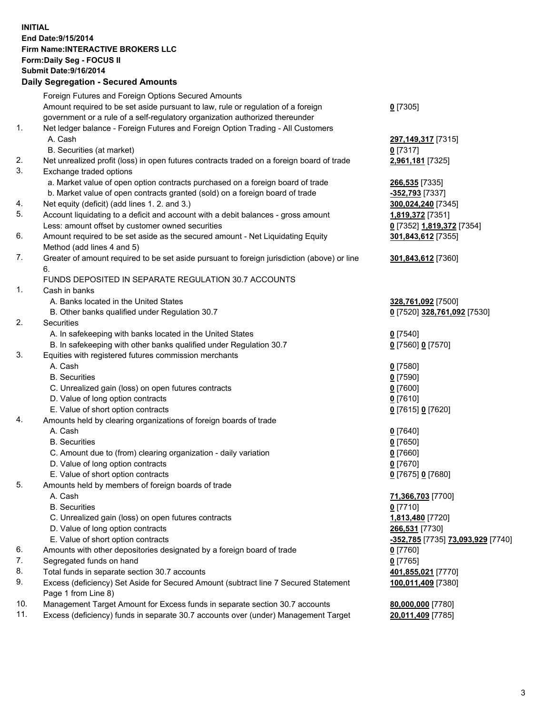## **INITIAL End Date:9/15/2014 Firm Name:INTERACTIVE BROKERS LLC Form:Daily Seg - FOCUS II Submit Date:9/16/2014 Daily Segregation - Secured Amounts**

|                | Daily Jegregation - Jeculed Aniounts                                                        |                                   |
|----------------|---------------------------------------------------------------------------------------------|-----------------------------------|
|                | Foreign Futures and Foreign Options Secured Amounts                                         |                                   |
|                | Amount required to be set aside pursuant to law, rule or regulation of a foreign            | $0$ [7305]                        |
|                | government or a rule of a self-regulatory organization authorized thereunder                |                                   |
| 1.             | Net ledger balance - Foreign Futures and Foreign Option Trading - All Customers             |                                   |
|                | A. Cash                                                                                     | 297,149,317 [7315]                |
|                | B. Securities (at market)                                                                   | $0$ [7317]                        |
| 2.             | Net unrealized profit (loss) in open futures contracts traded on a foreign board of trade   | 2,961,181 [7325]                  |
| 3.             | Exchange traded options                                                                     |                                   |
|                | a. Market value of open option contracts purchased on a foreign board of trade              | <b>266,535</b> [7335]             |
|                | b. Market value of open contracts granted (sold) on a foreign board of trade                | -352,793 [7337]                   |
| 4.             | Net equity (deficit) (add lines 1. 2. and 3.)                                               | 300,024,240 [7345]                |
| 5.             | Account liquidating to a deficit and account with a debit balances - gross amount           | 1,819,372 [7351]                  |
|                | Less: amount offset by customer owned securities                                            | 0 [7352] 1,819,372 [7354]         |
| 6.             | Amount required to be set aside as the secured amount - Net Liquidating Equity              | 301,843,612 [7355]                |
|                | Method (add lines 4 and 5)                                                                  |                                   |
| 7.             | Greater of amount required to be set aside pursuant to foreign jurisdiction (above) or line | 301,843,612 [7360]                |
|                | 6.                                                                                          |                                   |
|                | FUNDS DEPOSITED IN SEPARATE REGULATION 30.7 ACCOUNTS                                        |                                   |
| $\mathbf{1}$ . | Cash in banks                                                                               |                                   |
|                | A. Banks located in the United States                                                       | 328,761,092 [7500]                |
|                | B. Other banks qualified under Regulation 30.7                                              | 0 [7520] 328,761,092 [7530]       |
| 2.             | Securities                                                                                  |                                   |
|                | A. In safekeeping with banks located in the United States                                   | $0$ [7540]                        |
|                | B. In safekeeping with other banks qualified under Regulation 30.7                          | 0 [7560] 0 [7570]                 |
| 3.             | Equities with registered futures commission merchants                                       |                                   |
|                | A. Cash                                                                                     | $0$ [7580]                        |
|                | <b>B.</b> Securities                                                                        | $0$ [7590]                        |
|                | C. Unrealized gain (loss) on open futures contracts                                         | $0$ [7600]                        |
|                | D. Value of long option contracts                                                           | $0$ [7610]                        |
|                | E. Value of short option contracts                                                          | 0 [7615] 0 [7620]                 |
| 4.             | Amounts held by clearing organizations of foreign boards of trade                           |                                   |
|                | A. Cash                                                                                     | $0$ [7640]                        |
|                | <b>B.</b> Securities                                                                        | $0$ [7650]                        |
|                | C. Amount due to (from) clearing organization - daily variation                             | $0$ [7660]                        |
|                | D. Value of long option contracts                                                           | $0$ [7670]                        |
|                | E. Value of short option contracts                                                          | 0 [7675] 0 [7680]                 |
| 5.             | Amounts held by members of foreign boards of trade                                          |                                   |
|                | A. Cash                                                                                     | 71,366,703 [7700]                 |
|                | <b>B.</b> Securities                                                                        | $0$ [7710]                        |
|                | C. Unrealized gain (loss) on open futures contracts                                         | 1,813,480 [7720]                  |
|                | D. Value of long option contracts                                                           | 266,531 [7730]                    |
|                | E. Value of short option contracts                                                          | -352,785 [7735] 73,093,929 [7740] |
| 6.             | Amounts with other depositories designated by a foreign board of trade                      | $0$ [7760]                        |
| 7.             | Segregated funds on hand                                                                    | $0$ [7765]                        |
| 8.             | Total funds in separate section 30.7 accounts                                               | 401,855,021 [7770]                |
| 9.             | Excess (deficiency) Set Aside for Secured Amount (subtract line 7 Secured Statement         | 100,011,409 [7380]                |
| 10.            | Page 1 from Line 8)                                                                         |                                   |
|                | Management Target Amount for Excess funds in separate section 30.7 accounts                 | 80,000,000 [7780]                 |
| 11.            | Excess (deficiency) funds in separate 30.7 accounts over (under) Management Target          | 20,011,409 [7785]                 |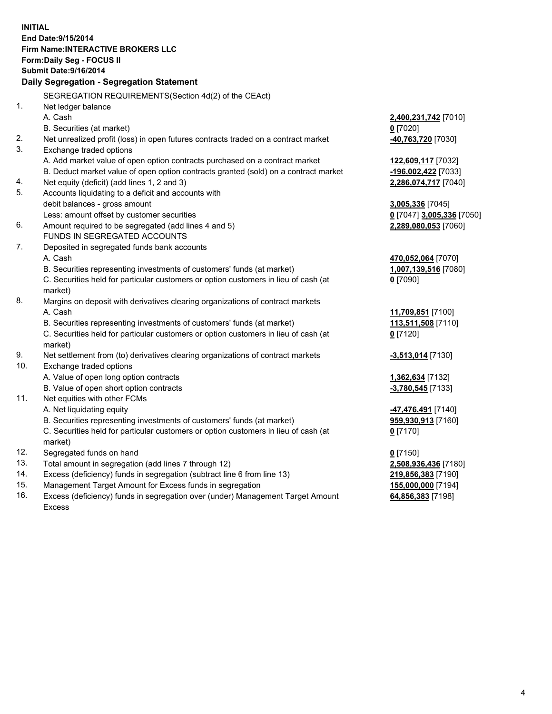**INITIAL End Date:9/15/2014 Firm Name:INTERACTIVE BROKERS LLC Form:Daily Seg - FOCUS II Submit Date:9/16/2014 Daily Segregation - Segregation Statement** SEGREGATION REQUIREMENTS(Section 4d(2) of the CEAct) 1. Net ledger balance A. Cash **2,400,231,742** [7010] B. Securities (at market) **0** [7020] 2. Net unrealized profit (loss) in open futures contracts traded on a contract market **-40,763,720** [7030] 3. Exchange traded options A. Add market value of open option contracts purchased on a contract market **122,609,117** [7032] B. Deduct market value of open option contracts granted (sold) on a contract market **-196,002,422** [7033] 4. Net equity (deficit) (add lines 1, 2 and 3) **2,286,074,717** [7040] 5. Accounts liquidating to a deficit and accounts with debit balances - gross amount **3,005,336** [7045] Less: amount offset by customer securities **0** [7047] **3,005,336** [7050] 6. Amount required to be segregated (add lines 4 and 5) **2,289,080,053** [7060] FUNDS IN SEGREGATED ACCOUNTS 7. Deposited in segregated funds bank accounts A. Cash **470,052,064** [7070] B. Securities representing investments of customers' funds (at market) **1,007,139,516** [7080] C. Securities held for particular customers or option customers in lieu of cash (at market) **0** [7090] 8. Margins on deposit with derivatives clearing organizations of contract markets A. Cash **11,709,851** [7100] B. Securities representing investments of customers' funds (at market) **113,511,508** [7110] C. Securities held for particular customers or option customers in lieu of cash (at market) **0** [7120] 9. Net settlement from (to) derivatives clearing organizations of contract markets **-3,513,014** [7130] 10. Exchange traded options A. Value of open long option contracts **1,362,634** [7132] B. Value of open short option contracts **-3,780,545** [7133] 11. Net equities with other FCMs A. Net liquidating equity **-47,476,491** [7140] B. Securities representing investments of customers' funds (at market) **959,930,913** [7160] C. Securities held for particular customers or option customers in lieu of cash (at market) **0** [7170] 12. Segregated funds on hand **0** [7150] 13. Total amount in segregation (add lines 7 through 12) **2,508,936,436** [7180] 14. Excess (deficiency) funds in segregation (subtract line 6 from line 13) **219,856,383** [7190] 15. Management Target Amount for Excess funds in segregation **155,000,000** [7194]

16. Excess (deficiency) funds in segregation over (under) Management Target Amount Excess

**64,856,383** [7198]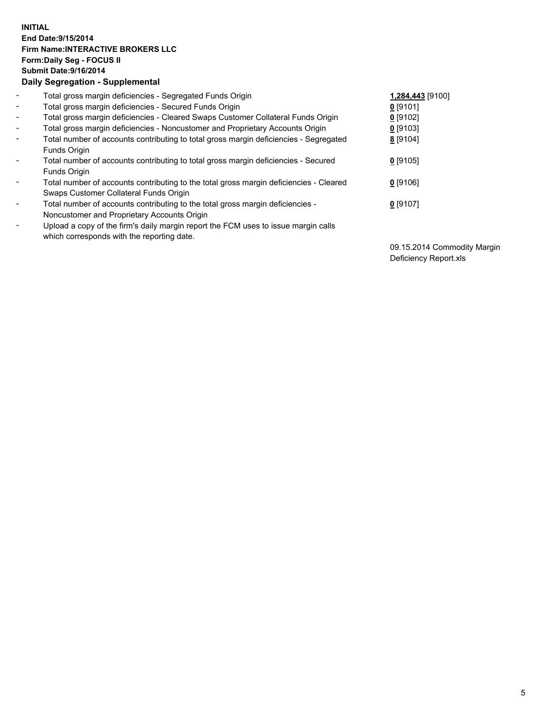## **INITIAL End Date:9/15/2014 Firm Name:INTERACTIVE BROKERS LLC Form:Daily Seg - FOCUS II Submit Date:9/16/2014 Daily Segregation - Supplemental**

| $\blacksquare$ | Total gross margin deficiencies - Segregated Funds Origin                                             | 1,284,443 [9100] |
|----------------|-------------------------------------------------------------------------------------------------------|------------------|
| $\blacksquare$ | Total gross margin deficiencies - Secured Funds Origin                                                | $0$ [9101]       |
| $\blacksquare$ | Total gross margin deficiencies - Cleared Swaps Customer Collateral Funds Origin                      | 0 [9102]         |
| $\blacksquare$ | Total gross margin deficiencies - Noncustomer and Proprietary Accounts Origin                         | $0$ [9103]       |
| $\blacksquare$ | Total number of accounts contributing to total gross margin deficiencies - Segregated<br>Funds Origin | 8 [9104]         |
| $\blacksquare$ | Total number of accounts contributing to total gross margin deficiencies - Secured                    | $0$ [9105]       |
|                | Funds Origin                                                                                          |                  |
|                | Total number of accounts contributing to the total gross margin deficiencies - Cleared                | $0$ [9106]       |
|                | Swaps Customer Collateral Funds Origin                                                                |                  |
| ۰              | Total number of accounts contributing to the total gross margin deficiencies -                        | $0$ [9107]       |
|                | Noncustomer and Proprietary Accounts Origin                                                           |                  |
| $\blacksquare$ | Upload a copy of the firm's daily margin report the FCM uses to issue margin calls                    |                  |
|                | which corresponds with the reporting date.                                                            |                  |

09.15.2014 Commodity Margin Deficiency Report.xls